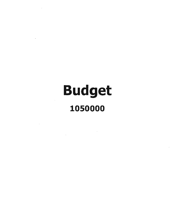# Budget 1050000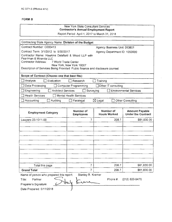#### New York State Consultant Services **Contractor's Annuar Employment Report**

Report Period: April 1, 2017 to March 31, 2018

| Contracting State Agency Name: Division of the Budget                                                                                                                                                         |                               |                                    |                                                    |
|---------------------------------------------------------------------------------------------------------------------------------------------------------------------------------------------------------------|-------------------------------|------------------------------------|----------------------------------------------------|
| Contract Number: C000413                                                                                                                                                                                      |                               | <b>Agency Business Unit: DOB01</b> |                                                    |
| Contract Term: 3/1/2012 to 9/30/2017                                                                                                                                                                          |                               | Agency Department ID: 1050000      |                                                    |
| Contractor Name: Hawkins Delafield & Wood LLP with<br>Pearlman & Miranda LLC<br>Contractor Address:<br>7 World Trade Center<br>Description of Services Being Provided: Public finance and disclosure counsel. | New York, New York 10007      |                                    |                                                    |
| Scope of Contract (Choose one that best fits):                                                                                                                                                                |                               |                                    |                                                    |
| Analysis<br>Evaluation                                                                                                                                                                                        | Research                      | Training                           |                                                    |
| Data Processing                                                                                                                                                                                               | <b>Computer Programming</b>   | □ Other IT consulting              |                                                    |
| Engineering<br><b>Architect Services</b>                                                                                                                                                                      | Surveying                     |                                    | <b>Environmental Services</b>                      |
| <b>Health Services</b>                                                                                                                                                                                        | <b>Mental Health Services</b> |                                    |                                                    |
| Accounting<br>Auditing                                                                                                                                                                                        | Paralegal                     | $\boxtimes$ Legal                  | Other Consulting                                   |
|                                                                                                                                                                                                               |                               |                                    |                                                    |
| <b>Employment Category</b>                                                                                                                                                                                    | Number of<br><b>Employees</b> | Number of<br><b>Hours Worked</b>   | <b>Amount Payable</b><br><b>Under the Contract</b> |
| Lawyers 23-1011.00                                                                                                                                                                                            | 7                             | 208.7                              | \$81,830.00                                        |
|                                                                                                                                                                                                               |                               |                                    |                                                    |
|                                                                                                                                                                                                               |                               |                                    |                                                    |
|                                                                                                                                                                                                               |                               |                                    |                                                    |
|                                                                                                                                                                                                               |                               |                                    |                                                    |
|                                                                                                                                                                                                               |                               |                                    |                                                    |
|                                                                                                                                                                                                               |                               |                                    |                                                    |
|                                                                                                                                                                                                               |                               |                                    |                                                    |
|                                                                                                                                                                                                               |                               |                                    |                                                    |
| Total this page                                                                                                                                                                                               | 7                             | 208.7                              | \$81,830.00                                        |
| <b>Grand Total</b>                                                                                                                                                                                            | 7                             | 208.7                              | \$81,830.00                                        |
| Name of person who prepared this report:                                                                                                                                                                      | Stanley R. Kramer             |                                    |                                                    |
| Partner<br>Title:                                                                                                                                                                                             |                               | Phone #:                           | (212) 820-9470                                     |
| Preparer's Signature:                                                                                                                                                                                         |                               |                                    |                                                    |
| Date Prepared: 5/11/2018                                                                                                                                                                                      |                               |                                    |                                                    |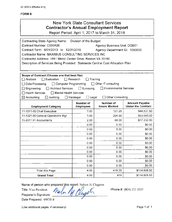## New York State Consultant Services **Contractor's Annual Employment Report**

Report Period: April 1, 2017 to March 31, 2018

| Contracting State Agency Name: Division of the Budget<br>Contract Number: C000426<br>Contract Term: 6/01/2013 to 12/31/2019<br>Contractor Name: MAXIMUS CONSULTING SERVICES INC<br>Contractor Address: 1891 Metro Center Drive, Reston VA 20190<br>Description of Services Being Provided: Statewide Central Cost Allocation Plan |                                      | Agency Business Unit: DOB01<br>Agency Department ID: 1050000 |                                                    |  |
|-----------------------------------------------------------------------------------------------------------------------------------------------------------------------------------------------------------------------------------------------------------------------------------------------------------------------------------|--------------------------------------|--------------------------------------------------------------|----------------------------------------------------|--|
| Scope of Contract (Choose one that best fits):<br>$\Box$ Evaluation<br>$\Box$ Research<br>$\Box$ Analysis<br>Training<br>□ Computer Programming<br>Other IT consulting<br>Data Processing<br>Architect Services<br>$\Box$ Surveying<br>Environmental Services<br>$\Box$ Engineering                                               |                                      |                                                              |                                                    |  |
| $\Box$ Health Services<br>Mental Health Services<br>$\boxtimes$ Accounting<br>$\Box$ Auditing                                                                                                                                                                                                                                     | $\Box$ Paralegal<br>Legal            | <b>Other Consulting</b>                                      |                                                    |  |
| <b>Employment Category</b>                                                                                                                                                                                                                                                                                                        | <b>Number of</b><br><b>Employees</b> | Number of<br><b>Hours Worked</b>                             | <b>Amount Payable</b><br><b>Under the Contract</b> |  |
| 11-1011-00 Chief Executive                                                                                                                                                                                                                                                                                                        | 1.00                                 | 127.25                                                       | \$44,537.50                                        |  |
| 11-1021.00 General Operations Mgr                                                                                                                                                                                                                                                                                                 | 1.00                                 | 204.00                                                       | \$53,040.00                                        |  |
| 13-2011.01 Accountants                                                                                                                                                                                                                                                                                                            | 2.00                                 | 88.00                                                        | \$17,232.00                                        |  |
|                                                                                                                                                                                                                                                                                                                                   | 0.00                                 | 0.00                                                         | \$0.00                                             |  |
|                                                                                                                                                                                                                                                                                                                                   | 0.00                                 | 0.00                                                         | \$0.00                                             |  |
|                                                                                                                                                                                                                                                                                                                                   | 0.00                                 | 0.00                                                         | \$0.00                                             |  |
|                                                                                                                                                                                                                                                                                                                                   | 0.00                                 | 0.00                                                         | \$0.00                                             |  |
|                                                                                                                                                                                                                                                                                                                                   | 0.00                                 | 0.00                                                         | \$0.00                                             |  |
|                                                                                                                                                                                                                                                                                                                                   | 0.00                                 | 0.00                                                         | \$0.00                                             |  |
|                                                                                                                                                                                                                                                                                                                                   | 0.00                                 | 0.00                                                         | \$0.00                                             |  |
|                                                                                                                                                                                                                                                                                                                                   | 0.00                                 | 0.00                                                         | \$0.00                                             |  |
|                                                                                                                                                                                                                                                                                                                                   | 0.00                                 | 0.00                                                         | \$0.00                                             |  |
|                                                                                                                                                                                                                                                                                                                                   | 0.00                                 | 0.00                                                         | \$0.00                                             |  |
| <b>Total this Page</b>                                                                                                                                                                                                                                                                                                            | 4.00                                 | 419.25                                                       | \$114,809.50                                       |  |
| <b>Grand Total</b>                                                                                                                                                                                                                                                                                                                | 4.00                                 | 419                                                          | \$114,809.50                                       |  |

Name of person who prepared this report: Nelson H. Clugston

Title: Vice President Meln Preparer's Signature:

Date Prepared: 4/9/2018

Phone#: (804) 323-3535

(Use additional pages. if necessary)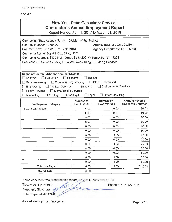| <b>New York State Consultant Services</b>      |
|------------------------------------------------|
| <b>Contractor's Annual Employment Report</b>   |
| Report Period: April 1, 2017 to March 31, 2018 |
|                                                |

| Contracting State Agency Name:                                                  | Division of the Budget               |                                         |                                                    |
|---------------------------------------------------------------------------------|--------------------------------------|-----------------------------------------|----------------------------------------------------|
| Contract Number: C000429                                                        |                                      | <b>Agency Business Unit: DOB01</b>      |                                                    |
| Contract Term: 8/1/2013 to 7/31/2018                                            |                                      | Agency Department ID: 1050000           |                                                    |
| Contractor Name: Toski & Co., CPAs, P.C.                                        |                                      |                                         |                                                    |
| Contractor Address: 6390 Main Street, Suite 200, Williamsville, NY 14221        |                                      |                                         |                                                    |
| Description of Services Being Provided: Accounting & Auditing Services          |                                      |                                         |                                                    |
|                                                                                 |                                      |                                         |                                                    |
|                                                                                 |                                      |                                         |                                                    |
| Scope of Contract (Choose one that best fits):<br>$\Box$ Evaluation<br>Analysis | $\Box$ Research                      | Training                                |                                                    |
| Data Processing<br>$\Box$ Computer Programming                                  |                                      | $\Box$ Other IT consulting              |                                                    |
| <b>Architect Services</b>                                                       | Surveying                            | <b>Environmental Services</b>           |                                                    |
| Engineering<br><b>Health Services</b><br>Mental Health Services                 |                                      |                                         |                                                    |
| $\boxtimes$ Accounting<br>Auditing                                              | $\Box$ Legal<br>$\Box$ Paralegal     | $\Box$ Other Consulting                 |                                                    |
|                                                                                 |                                      |                                         |                                                    |
| <b>Employment Category</b>                                                      | <b>Number of</b><br><b>Employees</b> | <b>Number of</b><br><b>Hours Worked</b> | <b>Amount Payable</b><br><b>Under the Contract</b> |
| 13-2011 02 Auditors                                                             | 6.00                                 | 0.00                                    | \$0.00                                             |
|                                                                                 | 0.00                                 | 0.00                                    | \$0.00                                             |
|                                                                                 | 0.00                                 | 0.00                                    | \$0.00                                             |
|                                                                                 | 0.00                                 | 0.00                                    | \$0.00                                             |
|                                                                                 | 0.00                                 | 0.00                                    | \$0.00                                             |
|                                                                                 | 0.00                                 | 0.00                                    | \$0.00                                             |
|                                                                                 | 0.00                                 | 0.00                                    | \$0.00                                             |
|                                                                                 | 0.00                                 | 0.00                                    | \$0.00                                             |
|                                                                                 | 0.00                                 | 0.00                                    | \$0.00                                             |
|                                                                                 | 0.00                                 | 0.00                                    | \$0.00                                             |
|                                                                                 | 0.00                                 | 0.00                                    | \$0.00                                             |
|                                                                                 | 0.00                                 | 0.00                                    | \$0.00                                             |
|                                                                                 | 0.00                                 | 0.00                                    | \$0.00                                             |
| <b>Total this Page</b>                                                          | 6.00                                 | 0.00                                    | \$0.00                                             |
| <b>Grand Total</b>                                                              | 6.00                                 |                                         |                                                    |

Name of person who prepared this report: Douglas E. Zimmerman, CPA

Title: Managing Director

Preparer's Signature:

Date Prepared: 4/25/2018

Phone#: (716) 634-0700

(Use additional pages, if necessary) example that the extra set of the Page 1 of 1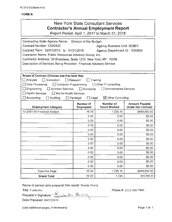|                                                                    |                                  | New York State Consultant Services<br><b>Contractor's Annual Employment Report</b><br>Report Period: April 1, 2017 to March 31, 2018 |                                                    |
|--------------------------------------------------------------------|----------------------------------|--------------------------------------------------------------------------------------------------------------------------------------|----------------------------------------------------|
| Contracting State Agency Name:                                     | Division of the Budget           |                                                                                                                                      |                                                    |
| Contract Number: C000430                                           |                                  | Agency Business Unit: DOB01                                                                                                          |                                                    |
| Contract Term: 02/01/2014 to 01/31/2019                            |                                  | Agency Department ID: 1050000                                                                                                        |                                                    |
| Contractor Name: Public Resources Advisory Group, Inc.             |                                  |                                                                                                                                      |                                                    |
| Contractor Address: 39 Broadway, Suite 1210, New York, NY 10006    |                                  |                                                                                                                                      |                                                    |
| Description of Services Being Provided: Financial Advisory Service |                                  |                                                                                                                                      |                                                    |
|                                                                    |                                  |                                                                                                                                      |                                                    |
| Scope of Contract (Choose one that best fits):                     |                                  |                                                                                                                                      |                                                    |
| Evaluation<br>$\Box$ Analysis                                      | $\Box$ Research<br>Training      |                                                                                                                                      |                                                    |
| $\Box$ Data Processing<br>Computer Programming                     |                                  | $\Box$ Other IT consulting                                                                                                           |                                                    |
| $\Box$ Engineering<br>$\Box$ Architect Services                    | $\Box$ Surveying                 | <b>Environmental Services</b>                                                                                                        |                                                    |
| $\Box$ Health Services<br>$\Box$ Mental Health Services            |                                  |                                                                                                                                      |                                                    |
| $\Box$ Accounting<br>Auditing                                      | $\Box$ Legal<br>$\Box$ Paralegal | $\boxtimes$ Other Consulting                                                                                                         |                                                    |
| <b>Employment Category</b>                                         | Number of<br><b>Employees</b>    | Number of<br><b>Hours Worked</b>                                                                                                     | <b>Amount Payable</b><br><b>Under the Contract</b> |
| 13-2051-00 Financial Analyst                                       | 16.00                            | 1,725.10                                                                                                                             | \$469,500.00                                       |
|                                                                    | 0.00                             | 0.00                                                                                                                                 | \$0.00                                             |
|                                                                    | 0.00                             | 0.00                                                                                                                                 | \$0.00                                             |
|                                                                    | 0.00                             | 0.00                                                                                                                                 | \$0.00                                             |
|                                                                    | 0.00                             | 0.00                                                                                                                                 | \$0.00                                             |
|                                                                    | 0.00                             | 0.00                                                                                                                                 | \$0.00                                             |
|                                                                    | 0.00                             | 0.00                                                                                                                                 | \$0.00                                             |
|                                                                    | 0.00                             | 0.00                                                                                                                                 | \$0.00                                             |
|                                                                    | 0.00                             | 0.00                                                                                                                                 | \$0.00                                             |
|                                                                    | 0.00                             | 0.00                                                                                                                                 | \$0.00                                             |
|                                                                    | 0.00                             | 0.00                                                                                                                                 | \$0.00                                             |
|                                                                    | 0.00                             | 0.00                                                                                                                                 | \$0.00                                             |
|                                                                    | 0.00                             | 0.00                                                                                                                                 | \$0.00                                             |
| <b>Total this Page</b>                                             | 16.00                            | 1,725.10                                                                                                                             | \$469,500.00                                       |
| <b>Grand Total</b>                                                 | 16.00                            | 1,725                                                                                                                                | 469,500.00                                         |

Name of person who prepared this report: Brenda Henry

Title: Controller Preparer's Signature: <u>2014 de 11</u>

Phone#: 2112-566-7800

(Use additional pages, if necessary)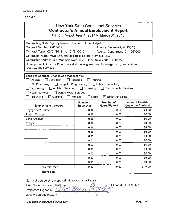|                                                                                                                                                                                                                                                                                                                                                                 |                                               | <b>New York State Consultant Services</b><br><b>Contractor's Annual Employment Report</b><br>Report Period: April 1, 2017 to March 31, 2018 |                                                    |
|-----------------------------------------------------------------------------------------------------------------------------------------------------------------------------------------------------------------------------------------------------------------------------------------------------------------------------------------------------------------|-----------------------------------------------|---------------------------------------------------------------------------------------------------------------------------------------------|----------------------------------------------------|
| Contracting State Agency Name:<br>Contract Number: C000432<br>Contract Term: 02/01/2014 to 01/31/2019<br>Contractor Name: Alvarez & Marsal Public Sector Services, LLC<br>Contractor Address: 600 Madison Avenue, 8th Floor, New York, NY 10022<br>Description of Services Being Provided: local government management, financial and<br>restructuring services | Division of the Budget                        | Agency Business Unit: DOB01<br>Agency Department ID: 1050000                                                                                |                                                    |
| Scope of Contract (Choose one that best fits):<br>Analysis<br>I Evaluation<br>Data Processing<br>$\Box$ Computer Programming<br>Engineering<br><b>Architect Services</b><br><b>Health Services</b><br><b>Mental Health Services</b><br>Accounting<br>Auditing                                                                                                   | Research<br>Surveying<br>Paralegal<br>] Legal | Training<br>□ Other IT consulting<br><b>Environmental Services</b><br>⊠ Other Consulting                                                    |                                                    |
| <b>Employment Category</b>                                                                                                                                                                                                                                                                                                                                      | Number of<br><b>Employees</b>                 | Number of<br><b>Hours Worked</b>                                                                                                            | <b>Amount Payable</b><br><b>Under the Contract</b> |
| <b>Engagement Partner</b>                                                                                                                                                                                                                                                                                                                                       | 0.00                                          | 0.00                                                                                                                                        | \$0.00                                             |
| Project Manager                                                                                                                                                                                                                                                                                                                                                 | 0.00                                          | 0.00                                                                                                                                        | \$0.00                                             |
| Senior Analyst                                                                                                                                                                                                                                                                                                                                                  | 0.00                                          | 0.00                                                                                                                                        | \$0.00                                             |
| Analyst                                                                                                                                                                                                                                                                                                                                                         |                                               |                                                                                                                                             |                                                    |
|                                                                                                                                                                                                                                                                                                                                                                 | 0.00                                          | 0.00                                                                                                                                        | \$0.00                                             |
|                                                                                                                                                                                                                                                                                                                                                                 | 0.00                                          | 0.00                                                                                                                                        | \$0.00                                             |
|                                                                                                                                                                                                                                                                                                                                                                 | 0.00                                          | 0.00                                                                                                                                        | \$0.00                                             |
|                                                                                                                                                                                                                                                                                                                                                                 | 0.00                                          | 0.00                                                                                                                                        | \$0.00                                             |
|                                                                                                                                                                                                                                                                                                                                                                 | 0.00                                          | 0.00                                                                                                                                        | \$0.00                                             |
|                                                                                                                                                                                                                                                                                                                                                                 | 0.00                                          | 0.00                                                                                                                                        | \$0.00                                             |
|                                                                                                                                                                                                                                                                                                                                                                 | 0.00                                          | 0.00                                                                                                                                        | \$0.00                                             |
|                                                                                                                                                                                                                                                                                                                                                                 | 0.00                                          | 0.00                                                                                                                                        | \$0.00                                             |
|                                                                                                                                                                                                                                                                                                                                                                 | 0.00                                          | 0.00                                                                                                                                        | \$0.00                                             |
| Total this Page                                                                                                                                                                                                                                                                                                                                                 | 0.00<br>0.00                                  | 0.00<br>0.00                                                                                                                                | \$0.00<br>\$<br>0.00                               |

Name of person who prepared this report: Asta Roques

Grand Total<br>Name of person who prepared this report: Asta Roques<br>Title: Senior Operations Director<br>Preparer's Signature: (New Wave Plugger 202-688-4271 Preparer's Signature:  $\mathcal{N}\bigcap\mathcal{U}$ Date Prepared: 5/9/2018

(Use additional pages, if necessary) example of the extension of the Page 1 of 1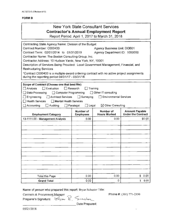### New York State Consultant Services **Contractor's Annual Employment Report**

Report Period: April 1, 2017 to March 31 , 2018

| Contracting State Agency Name: Division of the Budget                                      |                                    |                                    |                                                    |
|--------------------------------------------------------------------------------------------|------------------------------------|------------------------------------|----------------------------------------------------|
| Contract Number: C000433                                                                   |                                    | <b>Agency Business Unit: DOB01</b> |                                                    |
| Contract Term: 02/01/2014 to 01/31/2019                                                    |                                    | Agency Department ID: 1050000      |                                                    |
| Contractor Name: The Boston Consulting Group, Inc.                                         |                                    |                                    |                                                    |
| Contractor Address: 10 Hudson Yards, New York, NY, 10001                                   |                                    |                                    |                                                    |
| Description of Services Being Provided: Local Government Management, Financial, and        |                                    |                                    |                                                    |
| <b>Restructuring Services</b>                                                              |                                    |                                    |                                                    |
| *Contract C000433 is a multiple-award ordering contract with no active project assignments |                                    |                                    |                                                    |
| during the reporting period 04/01/17 - 03/31/18.                                           |                                    |                                    |                                                    |
| Scope of Contract (Choose one that best fits):                                             |                                    |                                    |                                                    |
| $\Box$ Evaluation<br>$\Box$ Analysis                                                       | $\Box$ Research<br>$\Box$ Training |                                    |                                                    |
| Data Processing<br>Computer Programming                                                    |                                    | $\Box$ Other IT consulting         |                                                    |
| $\Box$ Engineering<br><b>Architect Services</b>                                            | $\Box$ Surveying                   | Environmental Services             |                                                    |
| <b>Health Services</b><br><b>Nental Health Services</b>                                    |                                    |                                    |                                                    |
| Accounting<br>Auditing                                                                     | $\Box$ Legal<br>$\Box$ Paralegal   | $\boxtimes$ Other Consulting       |                                                    |
|                                                                                            |                                    |                                    |                                                    |
| <b>Employment Category</b>                                                                 | Number of<br><b>Employees</b>      | Number of<br><b>Hours Worked</b>   | <b>Amount Payable</b><br><b>Under the Contract</b> |
| 13-1111.00 - Management Analysts                                                           | 0.00                               | 0.00                               | \$0.00                                             |
|                                                                                            |                                    |                                    |                                                    |
|                                                                                            |                                    |                                    |                                                    |
|                                                                                            |                                    |                                    |                                                    |
|                                                                                            |                                    |                                    |                                                    |
|                                                                                            |                                    |                                    |                                                    |
|                                                                                            |                                    |                                    |                                                    |
|                                                                                            |                                    |                                    |                                                    |
|                                                                                            |                                    |                                    |                                                    |
|                                                                                            |                                    |                                    |                                                    |
|                                                                                            |                                    |                                    |                                                    |
|                                                                                            |                                    |                                    |                                                    |
|                                                                                            |                                    |                                    |                                                    |
| <b>Total this Page</b>                                                                     | 0.00                               | 0.00                               | \$ 0.00                                            |
|                                                                                            |                                    |                                    |                                                    |

Name of person who prepared this report: Bryan Schuster Title:

Contracts & Procurement\_Manager

Phone#: (301) 771-2350

 $P$ reparer's Signature:  $\mathbb{R}_{y\sim} \mathbb{R}_{y}$  Semusten

\_\_\_\_\_\_\_\_\_\_\_\_\_\_\_ Date Prepared:

0512512018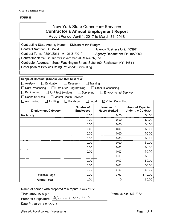## New York State Consultant Services **Contractor's Annual Employment Report**

Report Period: April 1, 2017 to March 31, 2018

| Contracting State Agency Name:                                                | Division of the Budget        |                                    |                                                    |  |  |
|-------------------------------------------------------------------------------|-------------------------------|------------------------------------|----------------------------------------------------|--|--|
| Contract Number: C000434                                                      |                               | <b>Agency Business Unit: DOB01</b> |                                                    |  |  |
| Contract Term: 02/01/2014 to 01/31/2019                                       |                               | Agency Department ID: 1050000      |                                                    |  |  |
| Contractor Name: Center for Governmental Research, Inc.                       |                               |                                    |                                                    |  |  |
| Contractor Address: 1 South Washington Street, Suite 400, Rochester, NY 14614 |                               |                                    |                                                    |  |  |
| Description of Services Being Provided: Consulting                            |                               |                                    |                                                    |  |  |
|                                                                               |                               |                                    |                                                    |  |  |
|                                                                               |                               |                                    |                                                    |  |  |
| Scope of Contract (Choose one that best fits):                                |                               |                                    |                                                    |  |  |
| Analysis<br>Evaluation                                                        | Research                      | Training                           |                                                    |  |  |
| Data Processing<br>$\Box$ Computer Programming                                |                               | $\Box$ Other IT consulting         |                                                    |  |  |
| Engineering<br><b>Architect Services</b>                                      | $\Box$ Surveying              | <b>Environmental Services</b>      |                                                    |  |  |
| <b>Health Services</b><br>□ Mental Health Services                            |                               |                                    |                                                    |  |  |
| Accounting<br>Auditing                                                        | Paralegal<br>$\square$ Legal  | $\boxtimes$ Other Consulting       |                                                    |  |  |
| <b>Employment Category</b>                                                    | Number of<br><b>Employees</b> | Number of<br><b>Hours Worked</b>   | <b>Amount Payable</b><br><b>Under the Contract</b> |  |  |
|                                                                               |                               |                                    |                                                    |  |  |
| No Activity                                                                   | 0.00                          | 0.00                               | \$0.00                                             |  |  |
|                                                                               | 0.00                          | 0.00                               | \$0.00                                             |  |  |
|                                                                               | 0.00                          | 0.00                               | \$0.00                                             |  |  |
|                                                                               | 0.00                          | 0.00                               | \$0.00                                             |  |  |
|                                                                               | 0.00                          | 0.00                               | \$0.00                                             |  |  |
|                                                                               | 0.00                          | 0.00                               | \$0.00                                             |  |  |
|                                                                               | 0.00                          | 0.00                               | \$0.00                                             |  |  |
|                                                                               | 0.00                          | 0.00                               | \$0.00                                             |  |  |
|                                                                               | 0.00                          | 0.00                               | \$0.00                                             |  |  |
|                                                                               | 0.00                          | 0.00                               | \$0.00                                             |  |  |
|                                                                               | 0.00                          | 0.00                               | \$0.00                                             |  |  |
|                                                                               | 0.00                          | 0.00                               | \$0.00                                             |  |  |
|                                                                               | 0.00                          | 0.00                               | \$0.00                                             |  |  |
| <b>Total this Page</b>                                                        | 0.00                          | 0.00                               | \$0.00                                             |  |  |

Name of person who prepared this report: Karen Yorks

Title: Office Manager /

Preparer's Signature:  $\frac{1}{\sqrt{2}}$  ,  $\frac{1}{\sqrt{2}}$  ,  $\frac{1}{\sqrt{2}}$  ,  $\frac{1}{\sqrt{2}}$ Date Prepared: 0511012018

Phone#: 585-327-7070

(Use additional pages, if necessary) example the control of the Page 1 of 1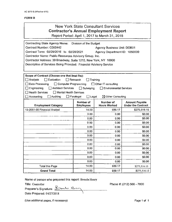|                                                                                                                                                                                                                                                                                                                                 |                                                                  | New York State Consultant Services<br><b>Contractor's Annual Employment Report</b><br>Report Period: April 1, 2017 to March 31, 2018 |                                                    |
|---------------------------------------------------------------------------------------------------------------------------------------------------------------------------------------------------------------------------------------------------------------------------------------------------------------------------------|------------------------------------------------------------------|--------------------------------------------------------------------------------------------------------------------------------------|----------------------------------------------------|
| Contracting State Agency Name: Division of the Budget<br>Contract Number: C000442<br>Contract Term: 02/29/2016 to 02/28/2021<br>Contractor Name: Public Resources Advisory Group, Inc.<br>Contractor Address: 39 Broadway, Suite 1210, New York, NY 10006<br>Description of Services Being Provided: Financial Advisory Service |                                                                  | <b>Agency Business Unit: DOB01</b><br>Agency Department ID: 1050000                                                                  |                                                    |
| Scope of Contract (Choose one that best fits):<br>□ Analysis<br>Evaluation<br>Data Processing<br>$\Box$ Computer Programming<br>Architect Services<br>$\Box$ Engineering<br><b>Health Services</b><br>□ Mental Health Services<br>Auditing<br>$\Box$ Accounting                                                                 | $\Box$ Research<br>$\Box$ Surveying<br>Paralegal<br>$\Box$ Legal | Training<br>$\Box$ Other IT consulting<br><b>Environmental Services</b><br>$\boxtimes$ Other Consulting                              |                                                    |
| <b>Employment Category</b>                                                                                                                                                                                                                                                                                                      | Number of<br><b>Employees</b>                                    | Number of<br><b>Hours Worked</b>                                                                                                     | <b>Amount Payable</b><br><b>Under the Contract</b> |
| 13-2051-00 Financial Analyst                                                                                                                                                                                                                                                                                                    | 14.00                                                            | 939.17                                                                                                                               | \$275,516.15                                       |
|                                                                                                                                                                                                                                                                                                                                 | 0.00                                                             | 0.00                                                                                                                                 | \$0.00                                             |
|                                                                                                                                                                                                                                                                                                                                 | 0.00                                                             | 0.00                                                                                                                                 | \$0.00                                             |
|                                                                                                                                                                                                                                                                                                                                 | 0.00                                                             | 0.00                                                                                                                                 | \$0,00                                             |
|                                                                                                                                                                                                                                                                                                                                 | 0.00                                                             | 0.00                                                                                                                                 | \$0.00                                             |
|                                                                                                                                                                                                                                                                                                                                 | 0.00                                                             | 0.00                                                                                                                                 | \$0.00                                             |
|                                                                                                                                                                                                                                                                                                                                 | 0.00                                                             | 0.00                                                                                                                                 | \$0.00                                             |
|                                                                                                                                                                                                                                                                                                                                 | 0.00                                                             | 0.00                                                                                                                                 | \$0.00                                             |
|                                                                                                                                                                                                                                                                                                                                 | 0.00                                                             | 0.00                                                                                                                                 | \$0.00                                             |
|                                                                                                                                                                                                                                                                                                                                 | 0.00                                                             | 0.00                                                                                                                                 | \$0.00                                             |
|                                                                                                                                                                                                                                                                                                                                 | 0.00                                                             | 0.00                                                                                                                                 | \$0.00                                             |
|                                                                                                                                                                                                                                                                                                                                 | 0.00                                                             | 0.00                                                                                                                                 | \$0.00                                             |
|                                                                                                                                                                                                                                                                                                                                 | 0.00                                                             | 0.00                                                                                                                                 | \$0.00                                             |
| Total this Page                                                                                                                                                                                                                                                                                                                 | 14.00                                                            | 939.17                                                                                                                               | \$275,516.15                                       |
| <b>Grand Total</b>                                                                                                                                                                                                                                                                                                              | 14.00                                                            | 939.17                                                                                                                               | \$275,516.15                                       |

Name of person who prepared this report: Brenda Henry

Title: Controller

Preparer's Signature: <u>Edundo Kham</u> Date Prepared: 04/27/2018 \

Phone #: (212) 566 - 7800

(Use additional pages, if necessary)

Page 1 of 1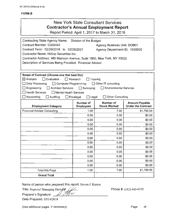| <b>New York State Consultant Services</b>                                                                                                               |
|---------------------------------------------------------------------------------------------------------------------------------------------------------|
| Contractor's Annual Employment Report                                                                                                                   |
| $D_{\text{shock}}$ $D_{\text{shock}}$ , $A_{\text{sh}}$ , $A_{\text{sh}}$ , $A_{\text{shock}}$ , $A_{\text{shock}}$ , $A_{\text{sh}}$ , $A_{\text{sh}}$ |

Report Period: April 1, 2017 to March 31, 2018

| Contracting State Agency Name: Division of the Budget<br>Contract Number: C000443<br>Contract Term: 02/29/2016 to 02/28/2021<br>Contractor Name: Hilltop Securities Inc.<br>Contractor Address: 485 Madison Avenue, Suite 1800, New York, NY 10022<br>Description of Services Being Provided: Financial Advisor |                                                              | Agency Business Unit: DOB01<br>Agency Department ID: 1050000                           |                                                    |
|-----------------------------------------------------------------------------------------------------------------------------------------------------------------------------------------------------------------------------------------------------------------------------------------------------------------|--------------------------------------------------------------|----------------------------------------------------------------------------------------|----------------------------------------------------|
| Scope of Contract (Choose one that best fits):<br>Evaluation<br>$\boxtimes$ Analysis<br>$\Box$ Computer Programming<br>Data Processing<br><b>Architect Services</b><br>Engineering<br><b>Health Services</b><br>l I Mental Health Services<br>Accounting<br><b>Auditing</b>                                     | Research<br>$\Box$ Surveying<br>$\square$ Legal<br>Paralegal | Training<br>$\Box$ Other IT consulting<br>□ Environmental Services<br>Other Consulting |                                                    |
| <b>Employment Category</b>                                                                                                                                                                                                                                                                                      | Number of<br><b>Employees</b>                                | Number of<br><b>Hours Worked</b>                                                       | <b>Amount Payable</b><br><b>Under the Contract</b> |
| <b>Financial Advisor Consulting</b>                                                                                                                                                                                                                                                                             | 1.00                                                         | 7.00                                                                                   | \$1,750.00                                         |
|                                                                                                                                                                                                                                                                                                                 | 0.00                                                         | 0.00                                                                                   | \$0.00                                             |
|                                                                                                                                                                                                                                                                                                                 | 0.00                                                         | 0.00                                                                                   | \$0.00                                             |
|                                                                                                                                                                                                                                                                                                                 | 0.00                                                         | 0.00                                                                                   | \$0.00                                             |
|                                                                                                                                                                                                                                                                                                                 | 0.00                                                         | 0.00                                                                                   | \$0.00                                             |
|                                                                                                                                                                                                                                                                                                                 | 0.00                                                         | 0.00                                                                                   | \$0.00                                             |
|                                                                                                                                                                                                                                                                                                                 | 0.00                                                         | 0.00                                                                                   | \$0.00                                             |
|                                                                                                                                                                                                                                                                                                                 | 0.00                                                         | 0.00                                                                                   | \$0.00                                             |
|                                                                                                                                                                                                                                                                                                                 | 0.00                                                         | 0.00                                                                                   | \$0.00                                             |
|                                                                                                                                                                                                                                                                                                                 | 0.00                                                         | 0.00                                                                                   | \$0.00                                             |
|                                                                                                                                                                                                                                                                                                                 | 0.00                                                         | 0.00                                                                                   | \$0.00                                             |
|                                                                                                                                                                                                                                                                                                                 | 0.00                                                         | 0.00                                                                                   | \$0.00                                             |
|                                                                                                                                                                                                                                                                                                                 | 0.00                                                         | 0.00                                                                                   | \$0.00                                             |
| <b>Total this Page</b>                                                                                                                                                                                                                                                                                          | 1.00                                                         | 7.00                                                                                   | \$1,750.00                                         |
| <b>Grand Total</b>                                                                                                                                                                                                                                                                                              |                                                              |                                                                                        |                                                    |

Name of person who prepared this report: Steven J. Kantor

Title: Regional Managing Director *J<sub>/</sub>/* 

Preparer's Signature: \_\_*\_\_\_* 

Phone#: (212) 642-4350

Date Prepared: 05/14/2018

(Use additional pages, if necessary)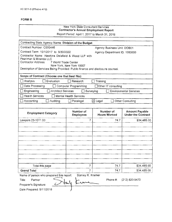#### New York State Consultant Services **Contractor's Annual Employment Report**  Report Period: April 1, 2017 to March 31, 2018

Contracting State Agency Name: **Division of the Budget**  Contract Number: C000446 Agency Business Unit: DOB01 Contract Term: 10/1/2017 to 9/30/2022 Agency Department ID: 1050000 Contractor Name: Hawkins Delafield & Wood LLP with Pearlman & Miranda LLC Contractor Address: 7 World Trade Center New York, New York 10007 Description of Services Being Provided: Public finance and disclosure counsel. **Scope of Contract (Choose one that best fits):**  D Analysis 0 Evaluation D Research 0 Training Data Processing D Computer Programming D Other IT consulting D Engineering 0 Architect Services D Surveying 0 Environmental Services  $\Box$  Health Services  $\Box$  Mental Health Services 0 Accounting D Auditing D Paralegal ~Legal D Other Consulting **Employment Category | Number of | Number of | Amount Payable | Amount Payable | Amount Payable | Amount Payable | Research Amount Payable | Research Amount Payable | Research Amount Payable | Research Amount Payable | Res Under the Contract** Lawyers 23-1011.00  $\begin{array}{|c|c|c|c|c|c|c|c|c|} \hline \end{array}$  74.7  $\begin{array}{|c|c|c|c|c|c|c|c|} \hline \end{array}$  534,485.00 Total this page **7 7 74.7 \$34,485.00 Grand Total 7 834,485.00 7 834,485.00** Name of person who prepared this report: Stanley R. Kramer<br>Title: Partner<br>-Phone #: (212) 820-9470

Date Prepared: 5/11/2018

Preparer's Signature: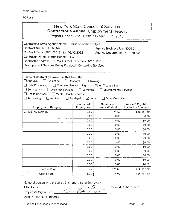|                                                                                                                                                                                                                                                                       |                                                                                      | New York State Consultant Services<br><b>Contractor's Annual Employment Report</b><br>Report Period: April 1, 2017 to March 31, 2018 |                                                    |
|-----------------------------------------------------------------------------------------------------------------------------------------------------------------------------------------------------------------------------------------------------------------------|--------------------------------------------------------------------------------------|--------------------------------------------------------------------------------------------------------------------------------------|----------------------------------------------------|
| Contracting State Agency Name:<br>Contract Number: C000447<br>Contract Term: 10/01/2017 to 09/30/2022<br>Contractor Name: Harris Beach PLLC<br>Contractor Address: 100 Wall Street, New York, NY 10005<br>Description of Services Being Provided: Consulting Services | Division of the Budget                                                               | Agency Business Unit: DOB01<br>Agency Department ID: 1050000                                                                         |                                                    |
| Scope of Contract (Choose one that best fits):<br>] Analysis<br>$\Box$ Evaluation<br>Data Processing<br>□ Computer Programming<br>$\Box$ Engineering<br>Architect Services<br>$\Box$ Health Services<br>Mental Health Services<br>Accounting<br>Auditing              | Research<br>Training<br>Surveying<br>$\Box$<br>$\boxtimes$ Legal<br>$\Box$ Paralegal | $\Box$ Other IT consulting<br><b>Environmental Services</b><br>Other Consulting                                                      |                                                    |
| <b>Employment Category</b>                                                                                                                                                                                                                                            | Number of<br><b>Employees</b>                                                        | Number of<br><b>Hours Worked</b>                                                                                                     | <b>Amount Payable</b><br><b>Under the Contract</b> |
| 23-1011.00-Lawyers                                                                                                                                                                                                                                                    | 3.00                                                                                 | 174.60                                                                                                                               | \$68,467.50                                        |
|                                                                                                                                                                                                                                                                       |                                                                                      |                                                                                                                                      |                                                    |
|                                                                                                                                                                                                                                                                       | 0.00                                                                                 | 0.00.                                                                                                                                | \$0.00                                             |
|                                                                                                                                                                                                                                                                       | 0.00                                                                                 | 0.00                                                                                                                                 | \$0.00                                             |
|                                                                                                                                                                                                                                                                       | 0.00                                                                                 | 0.00                                                                                                                                 | \$0.00                                             |
|                                                                                                                                                                                                                                                                       | 0.00                                                                                 | 0.00                                                                                                                                 | \$0.00                                             |
|                                                                                                                                                                                                                                                                       | 0.00                                                                                 | 0.00.                                                                                                                                | \$0.00                                             |
|                                                                                                                                                                                                                                                                       | 0.00                                                                                 | 0.00                                                                                                                                 | \$0.00                                             |
|                                                                                                                                                                                                                                                                       | 0.00                                                                                 | 0.00.                                                                                                                                | \$0.00                                             |
|                                                                                                                                                                                                                                                                       | 0.00<br>0.00                                                                         | 0.00.<br>0.00                                                                                                                        | \$0.00<br>\$0.00                                   |
|                                                                                                                                                                                                                                                                       | 0.00                                                                                 | 0.00                                                                                                                                 | \$0.00                                             |
|                                                                                                                                                                                                                                                                       | 0,00                                                                                 | 0.00                                                                                                                                 | \$0.00                                             |
|                                                                                                                                                                                                                                                                       | 0.00                                                                                 | 0.00                                                                                                                                 | \$0.00                                             |
| Total this Page                                                                                                                                                                                                                                                       | 3.00                                                                                 | 174.60                                                                                                                               | \$68,467.50                                        |

Name of person who prepared this report: Doron Bar-Levav<br>Title: Dartuss

Phone#: 212-313-5413

Ŷ.

Title: Partner<br>Preparer's Signature: *// 2 m/ 6 al / CAJTW* Preparer's Signature: **\_\_** 

Date Prepared: 05/1012018

(Use additional pages, if necessary)

Page of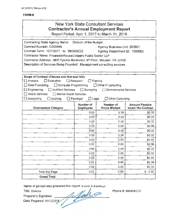|                                                                                                                                                                                                                                                                                                                                                                                                                                                  |                               | New York State Consultant Services<br><b>Contractor's Annual Employment Report</b><br>Report Period: April 1, 2017 to March 31, 2018 |                                                    |
|--------------------------------------------------------------------------------------------------------------------------------------------------------------------------------------------------------------------------------------------------------------------------------------------------------------------------------------------------------------------------------------------------------------------------------------------------|-------------------------------|--------------------------------------------------------------------------------------------------------------------------------------|----------------------------------------------------|
| Contracting State Agency Name: Division of the Budget<br>Contract Number: C000448<br>Contract Term: 10/1/2017 to 09/30/2022<br>Contractor Name: PricewaterhouseCoopers Public Sector LLP<br>Contractor Address: 1800 Tysons Boulevard, 6th Floor, McLean, VA 22102<br>Description of Services Being Provided: Management consulting services                                                                                                     |                               | Agency Business Unit: DOB01<br>Agency Department ID: 1050000                                                                         |                                                    |
| Scope of Contract (Choose one that best fits):<br>$\Box$ Analysis<br>$\Box$ Evaluation<br>$\Box$ Research<br>Training<br>$\Box$ Data Processing<br>□ Computer Programming<br>Other IT consulting<br>$\Box$ Engineering<br><b>Architect Services</b><br>$\Box$ Surveying<br><b>Environmental Services</b><br>$\Box$ Health Services<br>Mental Health Services<br>Accounting<br>Auditing<br>$\Box$ Legal<br>□ Other Consulting<br>$\Box$ Paralegal |                               |                                                                                                                                      |                                                    |
| <b>Employment Category</b>                                                                                                                                                                                                                                                                                                                                                                                                                       | Number of<br><b>Employees</b> | Number of<br><b>Hours Worked</b>                                                                                                     | <b>Amount Payable</b><br><b>Under the Contract</b> |
|                                                                                                                                                                                                                                                                                                                                                                                                                                                  | 0.00                          | 0.00                                                                                                                                 | \$0.00                                             |
|                                                                                                                                                                                                                                                                                                                                                                                                                                                  | 0.00                          | 0.00                                                                                                                                 | \$0.00                                             |
|                                                                                                                                                                                                                                                                                                                                                                                                                                                  | 0.00                          | 0.00                                                                                                                                 | \$0.00                                             |
|                                                                                                                                                                                                                                                                                                                                                                                                                                                  | 0.00                          | 0.00                                                                                                                                 | \$0.00                                             |
|                                                                                                                                                                                                                                                                                                                                                                                                                                                  | 0.00                          | 0.00                                                                                                                                 | \$0.00                                             |
|                                                                                                                                                                                                                                                                                                                                                                                                                                                  | 0.00                          | 0.00                                                                                                                                 | \$0.00                                             |
|                                                                                                                                                                                                                                                                                                                                                                                                                                                  | 0.00                          | 0.00                                                                                                                                 | \$0.00                                             |
|                                                                                                                                                                                                                                                                                                                                                                                                                                                  | 0.00                          | 000                                                                                                                                  | \$0.00                                             |
|                                                                                                                                                                                                                                                                                                                                                                                                                                                  | 0.00                          | 0.00                                                                                                                                 | \$0.00                                             |
|                                                                                                                                                                                                                                                                                                                                                                                                                                                  | 0.00                          | 0.00                                                                                                                                 | \$0.00                                             |
|                                                                                                                                                                                                                                                                                                                                                                                                                                                  | 0.00                          | 0.00                                                                                                                                 | \$0.00                                             |
|                                                                                                                                                                                                                                                                                                                                                                                                                                                  | 0.00                          | 0.00                                                                                                                                 | \$0.00                                             |
|                                                                                                                                                                                                                                                                                                                                                                                                                                                  | 0.00                          | 0.00                                                                                                                                 | \$0.00                                             |
| Total this Page                                                                                                                                                                                                                                                                                                                                                                                                                                  | 0.00                          | 0,00                                                                                                                                 | \$0.00                                             |
| <b>Grand Total</b>                                                                                                                                                                                                                                                                                                                                                                                                                               |                               |                                                                                                                                      |                                                    |

Name of person who prepared this report: Kemal A Karakaya<br>Title: Director<br>Preparer's Signature: 20018

Title: Director<br>Preparer's Signature: Ac Mault 9 Phone #: 8048680121 Preparer's Signature: \_

Date Prepared: 05/15/2018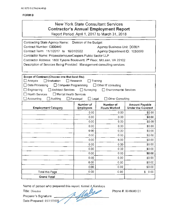|                                                                                                                                                                                                                                                                                                                                              |                                                                  | <b>New York State Consultant Services</b><br><b>Contractor's Annual Employment Report</b><br>Report Period: April 1, 2017 to March 31, 2018 |                                                    |
|----------------------------------------------------------------------------------------------------------------------------------------------------------------------------------------------------------------------------------------------------------------------------------------------------------------------------------------------|------------------------------------------------------------------|---------------------------------------------------------------------------------------------------------------------------------------------|----------------------------------------------------|
| Contracting State Agency Name: Division of the Budget<br>Contract Number: C000449<br>Contract Term: 11/1/2017 to 10/31/2022<br>Contractor Name: PricewaterhouseCoopers Public Sector LLP<br>Contractor Address: 1800 Tysons Boulevard, 7th Floor, McLean, VA 22102<br>Description of Services Being Provided: Management consulting services |                                                                  | <b>Agency Business Unit: DOB01</b><br>Agency Department ID: 1050000                                                                         |                                                    |
| Scope of Contract (Choose one that best fits):<br>∃ Analysis<br>$\Box$ Evaluation<br>Data Processing<br>$\Box$ Computer Programming<br>$\Box$ Engineering<br>$\Box$ Architect Services<br><b>Health Services</b><br>$\Box$ Mental Health Services<br>Accounting<br>Auditing                                                                  | Research<br>$\Box$ Surveying<br>$\Box$ Paralegal<br>$\Box$ Legal | Training<br>□ Other IT consulting<br><b>Environmental Services</b><br>□ Other Consulting                                                    |                                                    |
| <b>Employment Category</b>                                                                                                                                                                                                                                                                                                                   | Number of<br><b>Employees</b>                                    | Number of<br><b>Hours Worked</b>                                                                                                            | <b>Amount Payable</b><br><b>Under the Contract</b> |
|                                                                                                                                                                                                                                                                                                                                              | 0.00                                                             | 0.00                                                                                                                                        | \$0.00                                             |
|                                                                                                                                                                                                                                                                                                                                              | 0.00                                                             | 0.00                                                                                                                                        | \$0.00                                             |
|                                                                                                                                                                                                                                                                                                                                              | 0.00                                                             | 0.00                                                                                                                                        | \$0.00                                             |
|                                                                                                                                                                                                                                                                                                                                              | 0.00                                                             | 0.00                                                                                                                                        | \$0.00                                             |
|                                                                                                                                                                                                                                                                                                                                              | 0.00                                                             | 0.00                                                                                                                                        | \$0.00                                             |
|                                                                                                                                                                                                                                                                                                                                              | 0.00                                                             | 0.00                                                                                                                                        | \$0.00                                             |
|                                                                                                                                                                                                                                                                                                                                              | 0.00                                                             | 0.00                                                                                                                                        | \$0.00                                             |
|                                                                                                                                                                                                                                                                                                                                              | 0.00                                                             | $0.00\,$                                                                                                                                    | \$0.00                                             |
|                                                                                                                                                                                                                                                                                                                                              | 0.00                                                             | 0.00                                                                                                                                        | \$0.00                                             |
|                                                                                                                                                                                                                                                                                                                                              | 0.00                                                             | 0.00                                                                                                                                        | \$0.00                                             |
|                                                                                                                                                                                                                                                                                                                                              | 0.00                                                             | 0.00                                                                                                                                        | \$0.00                                             |
|                                                                                                                                                                                                                                                                                                                                              | 0.00                                                             | 0.00                                                                                                                                        | \$0.00                                             |
|                                                                                                                                                                                                                                                                                                                                              | 0.00                                                             | 0.00                                                                                                                                        | \$0.00                                             |
| Total this Page                                                                                                                                                                                                                                                                                                                              | 0,00                                                             | 0.00                                                                                                                                        | \$0.00                                             |
| <b>Grand Total</b>                                                                                                                                                                                                                                                                                                                           |                                                                  |                                                                                                                                             |                                                    |
| Name of person who prepared this report: Kemal A Karakaya<br>Title: Director<br>Preparer's Signature:                                                                                                                                                                                                                                        | 1. Mayo                                                          |                                                                                                                                             | Phone #: 8048680121                                |

Date Prepared: 05/15/2018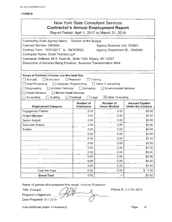|                                                                                                                                                                                                                                                                                                                                                                                                                                               |                               | <b>New York State Consultant Services</b><br><b>Contractor's Annual Employment Report</b><br>Report Period: April 1, 2017 to March 31, 2018 |                                                    |
|-----------------------------------------------------------------------------------------------------------------------------------------------------------------------------------------------------------------------------------------------------------------------------------------------------------------------------------------------------------------------------------------------------------------------------------------------|-------------------------------|---------------------------------------------------------------------------------------------------------------------------------------------|----------------------------------------------------|
| Contracting State Agency Name:<br>Contract Number: CM3004<br>Contract Term: 10/01/2017 to 09/30/2022<br><b>Contractor Name: Grant Thornton LLP</b><br>Contractor Address: 66 S. Pearl St., Suite 1200, Albany, NY 12207<br>Description of Services Being Provided: Business Transformation MSA                                                                                                                                                | Division of the Budget        | <b>Agency Business Unit: DOB01</b><br>Agency Department ID: 1050000                                                                         |                                                    |
| Scope of Contract (Choose one that best fits):<br>Analysis<br>$\square$ Evaluation<br>Research<br>Training<br>Data Processing<br>$\Box$ Computer Programming<br>$\Box$ Other IT consulting<br><b>Architect Services</b><br>$\Box$ Surveying<br>Engineering<br><b>Environmental Services</b><br><b>Health Services</b><br><b>Mental Health Services</b><br>Accounting<br>Auditing<br>$\Box$ Legal<br>$\boxtimes$ Other Consulting<br>Paralegal |                               |                                                                                                                                             |                                                    |
| <b>Employment Category</b>                                                                                                                                                                                                                                                                                                                                                                                                                    | Number of<br><b>Employees</b> | Number of<br><b>Hours Worked</b>                                                                                                            | <b>Amount Payable</b><br><b>Under the Contract</b> |
| Engagement Partner                                                                                                                                                                                                                                                                                                                                                                                                                            | 0.00                          | 0.00                                                                                                                                        | \$0.00                                             |
| Project Manager                                                                                                                                                                                                                                                                                                                                                                                                                               | 0.00                          | 0.00                                                                                                                                        | \$0.00                                             |
| Senior Analyst                                                                                                                                                                                                                                                                                                                                                                                                                                | 0.00                          | 0.00                                                                                                                                        | \$0.00                                             |
| Associate Analyst                                                                                                                                                                                                                                                                                                                                                                                                                             | 0.00                          | 0.00                                                                                                                                        | \$0.00                                             |
| Analyst                                                                                                                                                                                                                                                                                                                                                                                                                                       | 0,00                          | 0.00                                                                                                                                        | \$0.00                                             |
|                                                                                                                                                                                                                                                                                                                                                                                                                                               | 0.00                          | 0.00                                                                                                                                        | \$0.00                                             |
|                                                                                                                                                                                                                                                                                                                                                                                                                                               | 0.00                          | 0.00                                                                                                                                        | \$0.00                                             |
|                                                                                                                                                                                                                                                                                                                                                                                                                                               | 0.00                          | 0.00                                                                                                                                        | \$0.00                                             |
|                                                                                                                                                                                                                                                                                                                                                                                                                                               | 0.00                          | 0.00                                                                                                                                        | \$0.00                                             |
|                                                                                                                                                                                                                                                                                                                                                                                                                                               | 0.00                          | 0.00                                                                                                                                        | \$0.00                                             |
|                                                                                                                                                                                                                                                                                                                                                                                                                                               | 0.00                          | 0.00                                                                                                                                        | \$0.00                                             |
|                                                                                                                                                                                                                                                                                                                                                                                                                                               | 0.00                          | 0.00                                                                                                                                        | \$0.00                                             |
|                                                                                                                                                                                                                                                                                                                                                                                                                                               | 0.00                          | 0.00                                                                                                                                        | \$0.00                                             |
| <b>Total this Page</b>                                                                                                                                                                                                                                                                                                                                                                                                                        | 0.00                          | 0,00                                                                                                                                        | \$0.00                                             |
| <b>Grand Total</b>                                                                                                                                                                                                                                                                                                                                                                                                                            | 0.00                          | 0                                                                                                                                           | \$0.00                                             |
| Name of person who prepared this report: Anthony Hernandez<br>Title: Principal<br>Preparer's Signature:                                                                                                                                                                                                                                                                                                                                       |                               |                                                                                                                                             | Phone #: 215-701-8870                              |

Date Prepared: 5/11/2018

(Use additional pages, if necessary) example of the control of the page of the Page of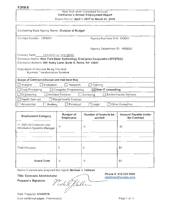#### New York State Consultant Services Contractor's Annual Employment Report Report Period: April 1, 2017 to March 31, 2018

| Contracting State Agency Name: Division of Budget                                  |                                            |  |  |  |  |
|------------------------------------------------------------------------------------|--------------------------------------------|--|--|--|--|
| Contract Number: CM3007                                                            | Agency Business Unit: DOB01                |  |  |  |  |
|                                                                                    | Agency Department ID: 1050000              |  |  |  |  |
| Contract Term: 11/1/2017 to 10/31/2022.                                            |                                            |  |  |  |  |
| Contractor Name: New York State Technology Enterprise Corporation (NYSTEC)         |                                            |  |  |  |  |
| Contractor Address: 500 Avery Lane, Suite A, Rome, NY 13441                        |                                            |  |  |  |  |
| Description of Services Being Provided:<br><b>Business Transformation Services</b> |                                            |  |  |  |  |
| Scope of Contract (Choose one that best fits):                                     |                                            |  |  |  |  |
| Evaluation<br>Research<br>Analysis                                                 | Training                                   |  |  |  |  |
| Data Processing<br>Computer Programming                                            | $\boxtimes$ Other IT consulting            |  |  |  |  |
| <b>Architect Services</b><br>Engineering                                           | <b>Environmental Services</b><br>Surveying |  |  |  |  |
| Health Services<br>Mental Health Services                                          |                                            |  |  |  |  |
| Accounting<br><b>Auditing</b><br>Paralegal                                         | Other Consulting<br>Legal                  |  |  |  |  |

| <b>Employment Category</b>                             | Number of<br><b>Employees</b> | Number of hours to be<br>worked | <b>Amount Payable Under</b><br>the Contract |
|--------------------------------------------------------|-------------------------------|---------------------------------|---------------------------------------------|
| 11 3021.00 Computer and<br>Information Systems Manager | $\Omega$                      | 0                               | \$0                                         |
|                                                        |                               |                                 |                                             |
| Total this page                                        | $\Omega$                      | 0                               | \$0                                         |
| <b>Grand Total</b>                                     | 0                             | 0                               | \$0                                         |

Name of person who prepared this report: Michael J. Tallman

Title: Contracts Administrator Preparer's Signature:

Nicht flatten

Date Prepared: 5/14/2018 (Use additional pages, if necessary)

Page 1 of 1

Phone#: 315-334·7843 [mtallman@nystec.com](mailto:mtallman@nystec.com)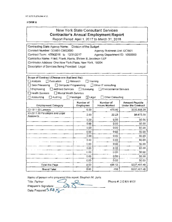## New York State Consultant Services **Contractor's Annual Employment Report**

Report Period: April 1, 2017 to March 31, 2018

| Contracting State Agency Name: Division of the Budget         |                               |  |  |  |
|---------------------------------------------------------------|-------------------------------|--|--|--|
| Contract Number: DOB01-CMS3000                                | Agency Business Unit: DOB01   |  |  |  |
| Contract Term: 4/29/2016 to 12/31/2017                        | Agency Department ID: 1050000 |  |  |  |
| Contractor Name: Fried, Frank, Harris, Shriver & Jacobson LLP |                               |  |  |  |
| Contractor Address: One New York Plaza, New York, 10004       |                               |  |  |  |
| Description of Services Being Provided: Legal                 |                               |  |  |  |
|                                                               |                               |  |  |  |

| Scope of Contract (Choose one that best fits):                                  |                                |                           |                                                    |
|---------------------------------------------------------------------------------|--------------------------------|---------------------------|----------------------------------------------------|
| Analysis<br>Evaluation                                                          | $\Box$ Research                | Training                  |                                                    |
| Data Processing<br>□ Computer Programming                                       |                                | Other IT consulting       |                                                    |
| Surveying<br>Engineering<br>Architect Services<br><b>Environmental Services</b> |                                |                           |                                                    |
| <b>Health Services</b><br>Mental Health Services                                |                                |                           |                                                    |
| Accounting<br>Auditing                                                          | $\boxtimes$ Legal<br>Paralegal | Other Consulting          |                                                    |
| <b>Employment Category</b>                                                      | Number of<br>Employees         | Number of<br>Hours Worked | <b>Amount Payable</b><br><b>Under the Contract</b> |
| 23-1011 00 Lawyers                                                              | 6.00                           | 475.90                    | \$330,808.28                                       |
| 23-2011.00 Paralegals and Legal<br>Assistants                                   | 2.00                           | 22.23                     | \$6,673.20                                         |
|                                                                                 | 0.00                           | 0.00                      | \$0.00                                             |
|                                                                                 | 0.00                           | 0.00                      | \$0.00                                             |
|                                                                                 | 0.00                           | 0.00                      | \$0.00                                             |
|                                                                                 | 0.00                           | 0.00                      | \$0.00                                             |
|                                                                                 | 0.00                           | 0.00                      | \$0.00                                             |
|                                                                                 | 0.00                           | 0.00                      | \$0.00                                             |
|                                                                                 | 0.00                           | 0.00                      | \$0.00                                             |
|                                                                                 | 0.00                           | 0.00                      | \$0.00                                             |
|                                                                                 | 0.00                           | 0.00                      | \$0.00                                             |
|                                                                                 | 0.00                           | 0.00                      | \$0.00                                             |
|                                                                                 | 0.00                           | 0.00                      | \$0.00                                             |
| <b>Total this Page</b>                                                          | 8.00                           | 498.13                    | \$337,481.48                                       |
| <b>Grand Total</b>                                                              | 6.00                           | 498                       | \$337,481.48                                       |

Name of person who prepared this report: Stephen M. Juris Title: Partner ~ ~ Preparer's Signature: ~ (S \_ ,,,.,s:-...\_\_ \_\_ Preparer's Signature:<br>Date Prepared: 5 24 / S

Phone #: 212 859 8935